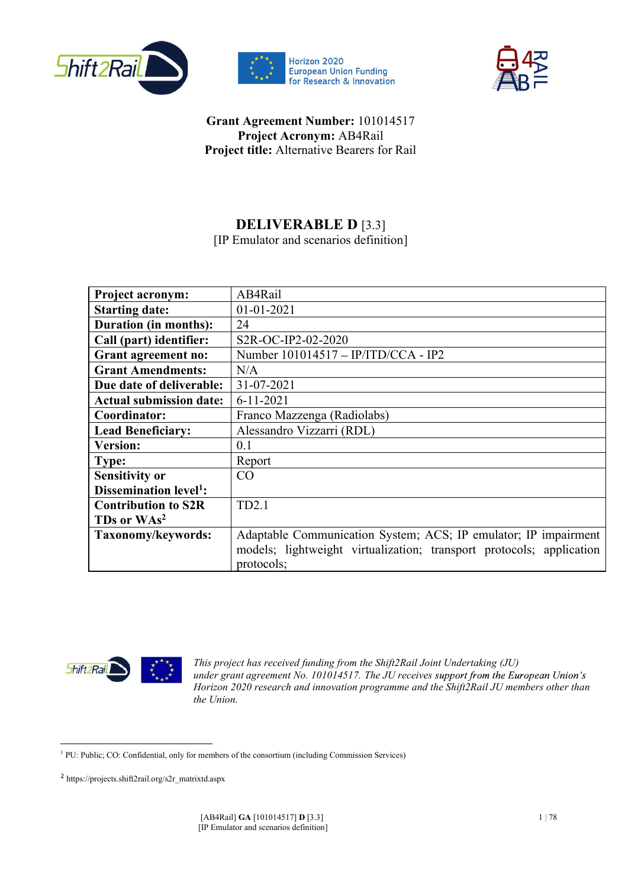





### Grant Agreement Number: 101014517 Project Acronym: AB4Rail Project title: Alternative Bearers for Rail

## DELIVERABLE D [3.3]

[IP Emulator and scenarios definition]

| Project acronym:                   | AB4Rail                                                              |
|------------------------------------|----------------------------------------------------------------------|
| <b>Starting date:</b>              | $01 - 01 - 2021$                                                     |
| <b>Duration (in months):</b>       | 24                                                                   |
| Call (part) identifier:            | S2R-OC-IP2-02-2020                                                   |
| <b>Grant agreement no:</b>         | Number 101014517 - IP/ITD/CCA - IP2                                  |
| <b>Grant Amendments:</b>           | N/A                                                                  |
| Due date of deliverable:           | 31-07-2021                                                           |
| <b>Actual submission date:</b>     | $6 - 11 - 2021$                                                      |
| Coordinator:                       | Franco Mazzenga (Radiolabs)                                          |
| <b>Lead Beneficiary:</b>           | Alessandro Vizzarri (RDL)                                            |
| <b>Version:</b>                    | 0.1                                                                  |
| Type:                              | Report                                                               |
| <b>Sensitivity or</b>              | CO                                                                   |
| Dissemination level <sup>1</sup> : |                                                                      |
| <b>Contribution to S2R</b>         | TD <sub>2.1</sub>                                                    |
| TDs or WAs <sup>2</sup>            |                                                                      |
| Taxonomy/keywords:                 | Adaptable Communication System; ACS; IP emulator; IP impairment      |
|                                    | models; lightweight virtualization; transport protocols; application |
|                                    | protocols;                                                           |



*This project has received funding from the Shift2Rail Joint Undertaking (JU) under grant agreement No. 101014517. The JU receives Horizon 2020 research and innovation programme and the Shift2Rail JU members other than the Union.*

<sup>&</sup>lt;sup>1</sup> PU: Public; CO: Confidential, only for members of the consortium (including Commission Services)

https://projects.shift2rail.org/s2r\_matrixtd.aspx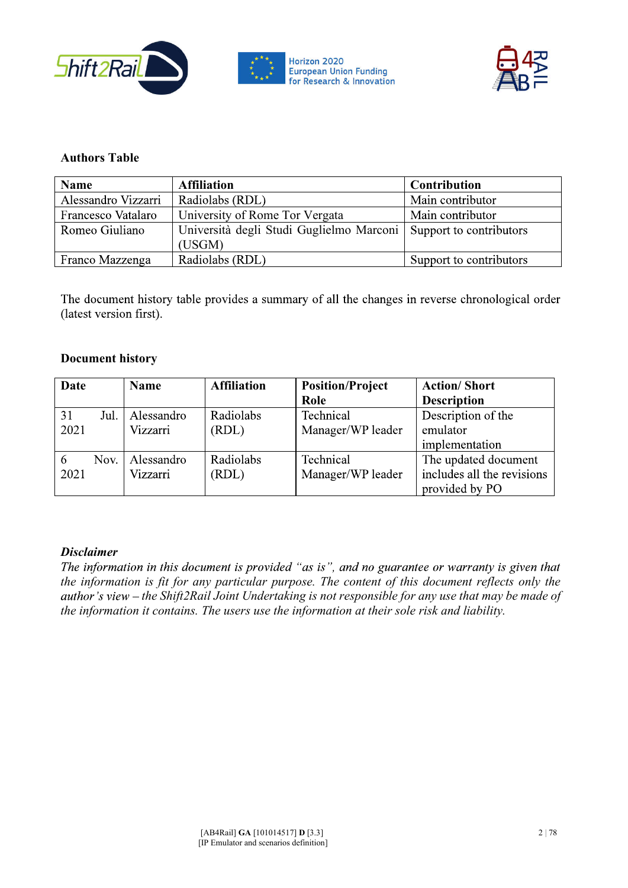



#### Authors Table

| <b>Name</b>         | <b>Affiliation</b>                       | <b>Contribution</b>     |
|---------------------|------------------------------------------|-------------------------|
| Alessandro Vizzarri | Radiolabs (RDL)                          | Main contributor        |
| Francesco Vatalaro  | University of Rome Tor Vergata           | Main contributor        |
| Romeo Giuliano      | Università degli Studi Guglielmo Marconi | Support to contributors |
|                     | (USGM)                                   |                         |
| Franco Mazzenga     | Radiolabs (RDL)                          | Support to contributors |

The document history table provides a summary of all the changes in reverse chronological order (latest version first).

#### Document history

| Date |      | <b>Name</b> | <b>Affiliation</b> | <b>Position/Project</b> | <b>Action/Short</b>        |
|------|------|-------------|--------------------|-------------------------|----------------------------|
|      |      |             |                    | Role                    | <b>Description</b>         |
| 31   | Jul. | Alessandro  | Radiolabs          | Technical               | Description of the         |
| 2021 |      | Vizzarri    | (RDL)              | Manager/WP leader       | emulator                   |
|      |      |             |                    |                         | implementation             |
| 6    | Nov. | Alessandro  | Radiolabs          | Technical               | The updated document       |
| 2021 |      | Vizzarri    | (RDL)              | Manager/WP leader       | includes all the revisions |
|      |      |             |                    |                         | provided by PO             |

**Disclaimer**<br>The information in this document is provided "as is", and no guarantee or warranty is given that *the information is fit for any particular purpose. The content of this document reflects only the the Shift2Rail Joint Undertaking is not responsible for any use that may be made of the information it contains. The users use the information at their sole risk and liability.*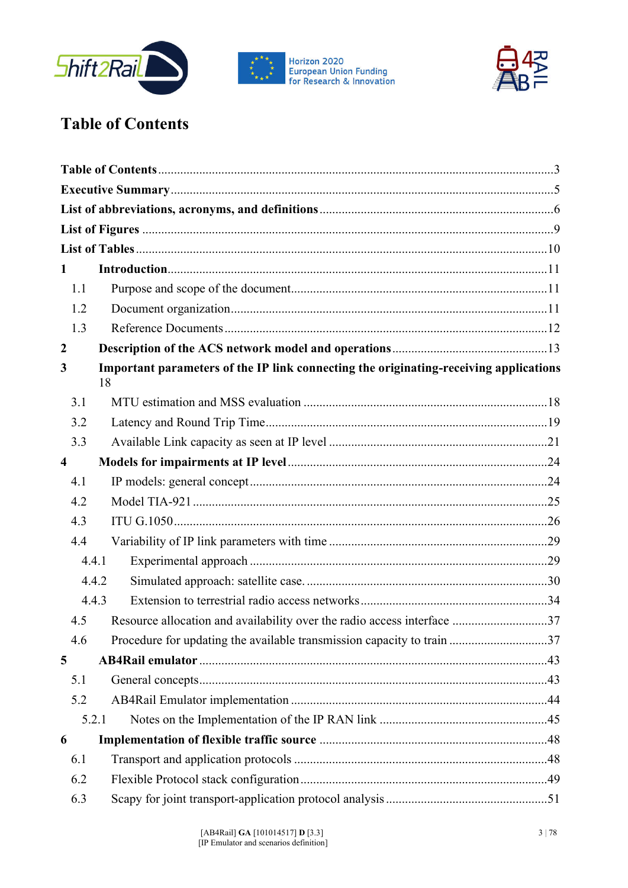





# **Table of Contents**

| 1                       |                                                                                             |  |
|-------------------------|---------------------------------------------------------------------------------------------|--|
| 1.1                     |                                                                                             |  |
| 1.2                     |                                                                                             |  |
| 1.3                     |                                                                                             |  |
| $\boldsymbol{2}$        |                                                                                             |  |
| 3                       | Important parameters of the IP link connecting the originating-receiving applications<br>18 |  |
| 3.1                     |                                                                                             |  |
| 3.2                     |                                                                                             |  |
| 3.3                     |                                                                                             |  |
| $\overline{\mathbf{4}}$ |                                                                                             |  |
| 4.1                     |                                                                                             |  |
| 4.2                     |                                                                                             |  |
| 4.3                     |                                                                                             |  |
| 4.4                     |                                                                                             |  |
| 4.4.1                   |                                                                                             |  |
|                         | 4.4.2                                                                                       |  |
|                         | 4.4.3                                                                                       |  |
| 4.5                     | Resource allocation and availability over the radio access interface 37                     |  |
| 4.6                     | Procedure for updating the available transmission capacity to train 37                      |  |
| 5                       |                                                                                             |  |
| 5.1                     |                                                                                             |  |
| 5.2                     |                                                                                             |  |
|                         | 5.2.1                                                                                       |  |
| 6                       |                                                                                             |  |
| 6.1                     |                                                                                             |  |
| 6.2                     |                                                                                             |  |
| 6.3                     |                                                                                             |  |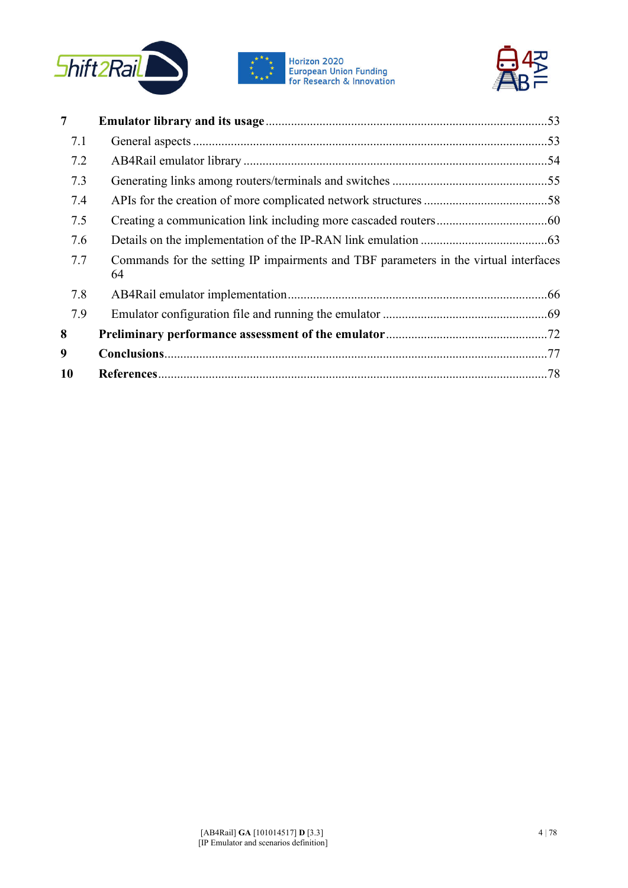







| 7   |                                                                                            |  |
|-----|--------------------------------------------------------------------------------------------|--|
| 7.1 |                                                                                            |  |
| 7.2 |                                                                                            |  |
| 7.3 |                                                                                            |  |
| 7.4 |                                                                                            |  |
| 7.5 |                                                                                            |  |
| 7.6 |                                                                                            |  |
| 7.7 | Commands for the setting IP impairments and TBF parameters in the virtual interfaces<br>64 |  |
| 7.8 |                                                                                            |  |
| 7.9 |                                                                                            |  |
| 8   |                                                                                            |  |
| 9   |                                                                                            |  |
| 10  |                                                                                            |  |